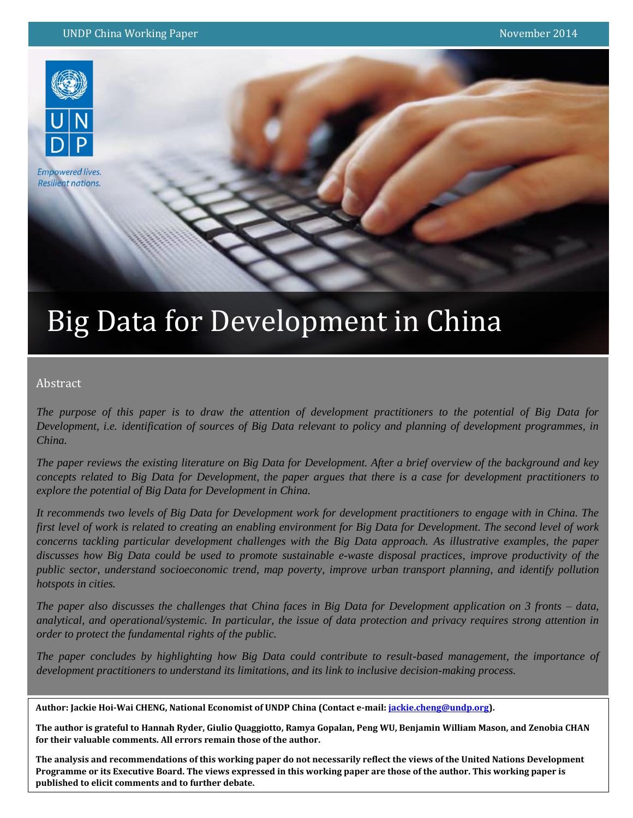

**Empowered lives. Resilient nations.** 

# Big Data for Development in China

## Abstract

*The purpose of this paper is to draw the attention of development practitioners to the potential of Big Data for Development, i.e. identification of sources of Big Data relevant to policy and planning of development programmes, in China.* 

*The paper reviews the existing literature on Big Data for Development. After a brief overview of the background and key concepts related to Big Data for Development, the paper argues that there is a case for development practitioners to explore the potential of Big Data for Development in China.* 

*It recommends two levels of Big Data for Development work for development practitioners to engage with in China. The first level of work is related to creating an enabling environment for Big Data for Development. The second level of work concerns tackling particular development challenges with the Big Data approach. As illustrative examples, the paper discusses how Big Data could be used to promote sustainable e-waste disposal practices, improve productivity of the public sector, understand socioeconomic trend, map poverty, improve urban transport planning, and identify pollution hotspots in cities.*

*The paper also discusses the challenges that China faces in Big Data for Development application on 3 fronts – data, analytical, and operational/systemic. In particular, the issue of data protection and privacy requires strong attention in order to protect the fundamental rights of the public.*

*The paper concludes by highlighting how Big Data could contribute to result-based management, the importance of development practitioners to understand its limitations, and its link to inclusive decision-making process.* 

**Author: Jackie Hoi-Wai CHENG, National Economist of UNDP China (Contact e-mail: [jackie.cheng@undp.org\)](mailto:jackie.cheng@undp.org).** 

**The author is grateful to Hannah Ryder, Giulio Quaggiotto, Ramya Gopalan, Peng WU, Benjamin William Mason, and Zenobia CHAN for their valuable comments. All errors remain those of the author.**

**The analysis and recommendations of this working paper do not necessarily reflect the views of the United Nations Development Programme or its Executive Board. The views expressed in this working paper are those of the author. This working paper is published to elicit comments and to further debate.**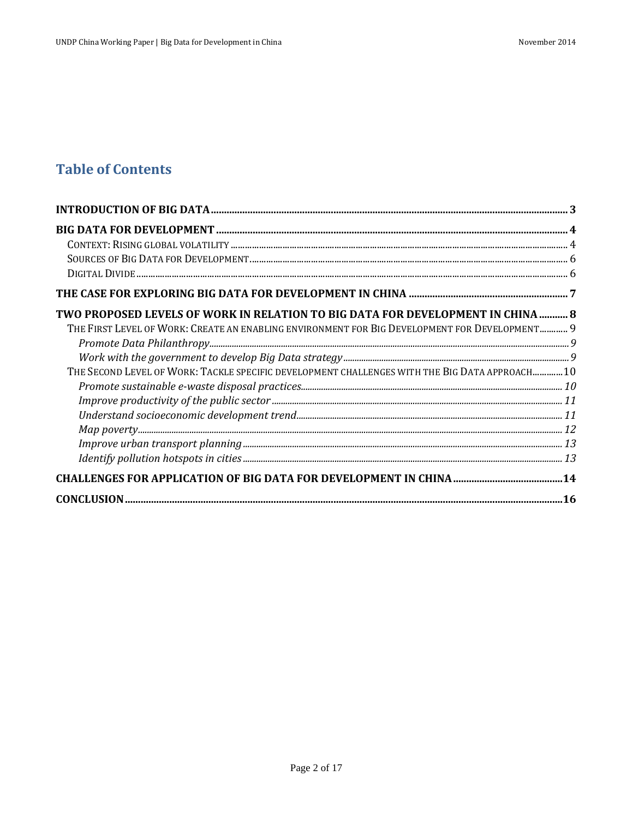# **Table of Contents**

| TWO PROPOSED LEVELS OF WORK IN RELATION TO BIG DATA FOR DEVELOPMENT IN CHINA  8               |  |
|-----------------------------------------------------------------------------------------------|--|
| THE FIRST LEVEL OF WORK: CREATE AN ENABLING ENVIRONMENT FOR BIG DEVELOPMENT FOR DEVELOPMENT 9 |  |
|                                                                                               |  |
|                                                                                               |  |
| THE SECOND LEVEL OF WORK: TACKLE SPECIFIC DEVELOPMENT CHALLENGES WITH THE BIG DATA APPROACH10 |  |
| $\label{prop:pr} {\it Promote\ sustainable\ e-waste\ displayed\ practices}\ .$                |  |
|                                                                                               |  |
|                                                                                               |  |
|                                                                                               |  |
|                                                                                               |  |
|                                                                                               |  |
|                                                                                               |  |
| $CONCLUSION 16$                                                                               |  |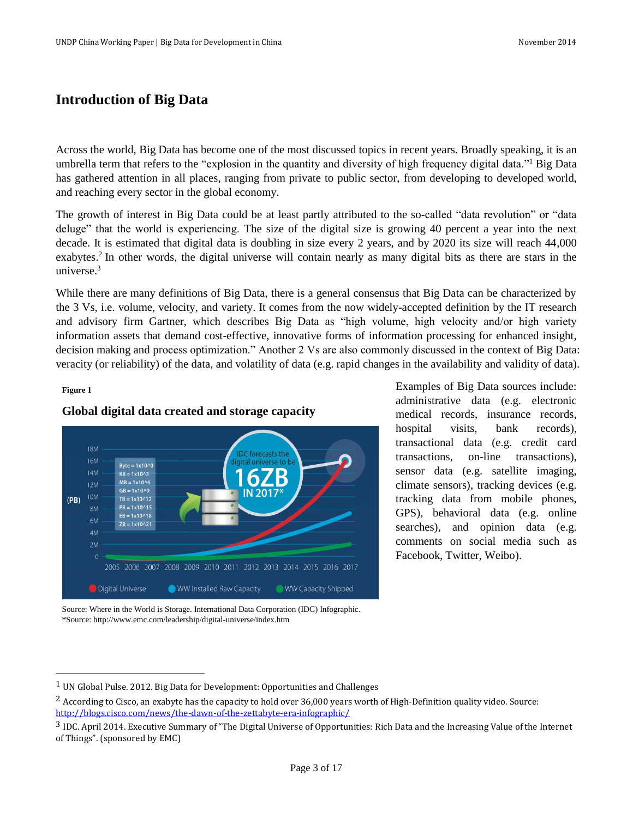# <span id="page-2-0"></span>**Introduction of Big Data**

Across the world, Big Data has become one of the most discussed topics in recent years. Broadly speaking, it is an umbrella term that refers to the "explosion in the quantity and diversity of high frequency digital data."<sup>1</sup> Big Data has gathered attention in all places, ranging from private to public sector, from developing to developed world, and reaching every sector in the global economy.

The growth of interest in Big Data could be at least partly attributed to the so-called "data revolution" or "data deluge" that the world is experiencing. The size of the digital size is growing 40 percent a year into the next decade. It is estimated that digital data is doubling in size every 2 years, and by 2020 its size will reach 44,000 exabytes.<sup>2</sup> In other words, the digital universe will contain nearly as many digital bits as there are stars in the universe. 3

While there are many definitions of Big Data, there is a general consensus that Big Data can be characterized by the 3 Vs, i.e. volume, velocity, and variety. It comes from the now widely-accepted definition by the IT research and advisory firm Gartner, which describes Big Data as "high volume, high velocity and/or high variety information assets that demand cost-effective, innovative forms of information processing for enhanced insight, decision making and process optimization." Another 2 Vs are also commonly discussed in the context of Big Data: veracity (or reliability) of the data, and volatility of data (e.g. rapid changes in the availability and validity of data).

#### **Figure 1**

 $\overline{a}$ 





medical records, insurance records, hospital visits, bank records), transactional data (e.g. credit card transactions, on-line transactions), sensor data (e.g. satellite imaging, climate sensors), tracking devices (e.g. tracking data from mobile phones, GPS), behavioral data (e.g. online searches), and opinion data (e.g. comments on social media such as Facebook, Twitter, Weibo).

Examples of Big Data sources include: administrative data (e.g. electronic

Source: Where in the World is Storage. International Data Corporation (IDC) Infographic. \*Source: http://www.emc.com/leadership/digital-universe/index.htm

<sup>1</sup> UN Global Pulse. 2012. Big Data for Development: Opportunities and Challenges

<sup>&</sup>lt;sup>2</sup> According to Cisco, an exabyte has the capacity to hold over 36,000 years worth of High-Definition quality video. Source: <http://blogs.cisco.com/news/the-dawn-of-the-zettabyte-era-infographic/>

<sup>3</sup> IDC. April 2014. Executive Summary of "The Digital Universe of Opportunities: Rich Data and the Increasing Value of the Internet of Things". (sponsored by EMC)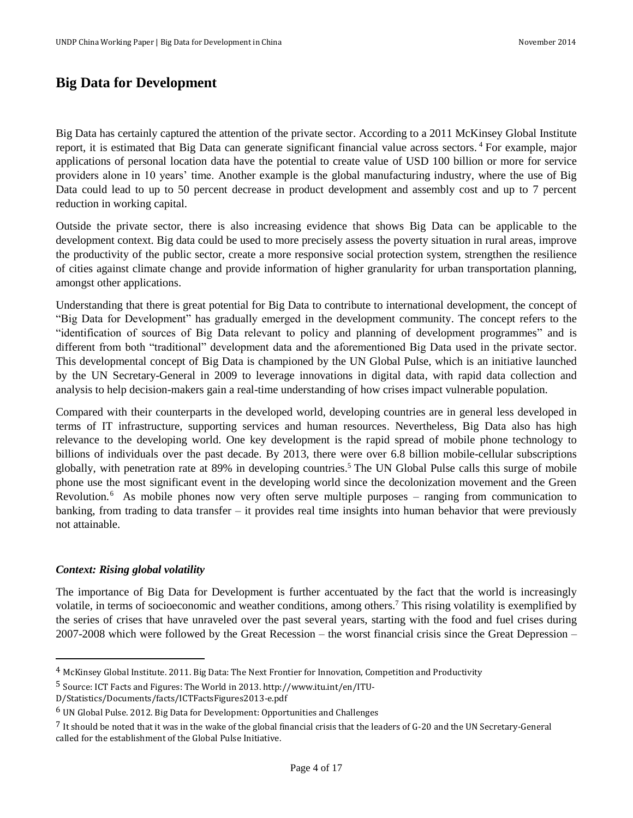# <span id="page-3-0"></span>**Big Data for Development**

Big Data has certainly captured the attention of the private sector. According to a 2011 McKinsey Global Institute report, it is estimated that Big Data can generate significant financial value across sectors. <sup>4</sup> For example, major applications of personal location data have the potential to create value of USD 100 billion or more for service providers alone in 10 years' time. Another example is the global manufacturing industry, where the use of Big Data could lead to up to 50 percent decrease in product development and assembly cost and up to 7 percent reduction in working capital.

Outside the private sector, there is also increasing evidence that shows Big Data can be applicable to the development context. Big data could be used to more precisely assess the poverty situation in rural areas, improve the productivity of the public sector, create a more responsive social protection system, strengthen the resilience of cities against climate change and provide information of higher granularity for urban transportation planning, amongst other applications.

Understanding that there is great potential for Big Data to contribute to international development, the concept of "Big Data for Development" has gradually emerged in the development community. The concept refers to the "identification of sources of Big Data relevant to policy and planning of development programmes" and is different from both "traditional" development data and the aforementioned Big Data used in the private sector. This developmental concept of Big Data is championed by the UN Global Pulse, which is an initiative launched by the UN Secretary-General in 2009 to leverage innovations in digital data, with rapid data collection and analysis to help decision-makers gain a real-time understanding of how crises impact vulnerable population.

Compared with their counterparts in the developed world, developing countries are in general less developed in terms of IT infrastructure, supporting services and human resources. Nevertheless, Big Data also has high relevance to the developing world. One key development is the rapid spread of mobile phone technology to billions of individuals over the past decade. By 2013, there were over 6.8 billion mobile-cellular subscriptions globally, with penetration rate at 89% in developing countries.<sup>5</sup> The UN Global Pulse calls this surge of mobile phone use the most significant event in the developing world since the decolonization movement and the Green Revolution.<sup>6</sup> As mobile phones now very often serve multiple purposes – ranging from communication to banking, from trading to data transfer – it provides real time insights into human behavior that were previously not attainable.

### <span id="page-3-1"></span>*Context: Rising global volatility*

l

The importance of Big Data for Development is further accentuated by the fact that the world is increasingly volatile, in terms of socioeconomic and weather conditions, among others.<sup>7</sup> This rising volatility is exemplified by the series of crises that have unraveled over the past several years, starting with the food and fuel crises during 2007-2008 which were followed by the Great Recession – the worst financial crisis since the Great Depression –

<sup>4</sup> McKinsey Global Institute. 2011. Big Data: The Next Frontier for Innovation, Competition and Productivity

<sup>5</sup> Source: ICT Facts and Figures: The World in 2013. http://www.itu.int/en/ITU-

D/Statistics/Documents/facts/ICTFactsFigures2013-e.pdf

<sup>6</sup> UN Global Pulse. 2012. Big Data for Development: Opportunities and Challenges

<sup>7</sup> It should be noted that it was in the wake of the global financial crisis that the leaders of G-20 and the UN Secretary-General called for the establishment of the Global Pulse Initiative.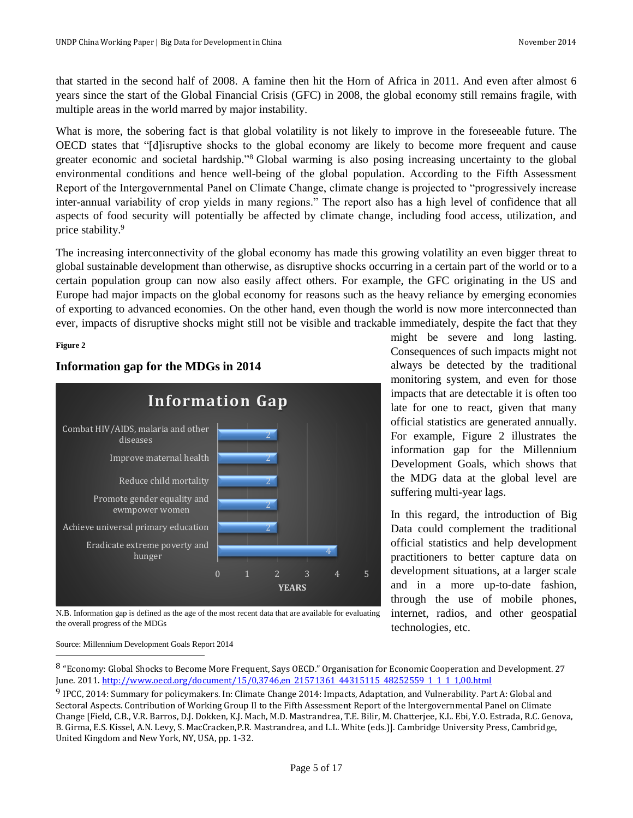that started in the second half of 2008. A famine then hit the Horn of Africa in 2011. And even after almost 6 years since the start of the Global Financial Crisis (GFC) in 2008, the global economy still remains fragile, with multiple areas in the world marred by major instability.

What is more, the sobering fact is that global volatility is not likely to improve in the foreseeable future. The OECD states that "[d]isruptive shocks to the global economy are likely to become more frequent and cause greater economic and societal hardship." <sup>8</sup> Global warming is also posing increasing uncertainty to the global environmental conditions and hence well-being of the global population. According to the Fifth Assessment Report of the Intergovernmental Panel on Climate Change, climate change is projected to "progressively increase inter-annual variability of crop yields in many regions." The report also has a high level of confidence that all aspects of food security will potentially be affected by climate change, including food access, utilization, and price stability.<sup>9</sup>

The increasing interconnectivity of the global economy has made this growing volatility an even bigger threat to global sustainable development than otherwise, as disruptive shocks occurring in a certain part of the world or to a certain population group can now also easily affect others. For example, the GFC originating in the US and Europe had major impacts on the global economy for reasons such as the heavy reliance by emerging economies of exporting to advanced economies. On the other hand, even though the world is now more interconnected than ever, impacts of disruptive shocks might still not be visible and trackable immediately, despite the fact that they

## **Figure 2**



# **Information gap for the MDGs in 2014**

might be severe and long lasting. Consequences of such impacts might not always be detected by the traditional monitoring system, and even for those impacts that are detectable it is often too late for one to react, given that many official statistics are generated annually. For example, Figure 2 illustrates the information gap for the Millennium Development Goals, which shows that the MDG data at the global level are suffering multi-year lags.

In this regard, the introduction of Big Data could complement the traditional official statistics and help development practitioners to better capture data on development situations, at a larger scale and in a more up-to-date fashion, through the use of mobile phones, internet, radios, and other geospatial technologies, etc.

N.B. Information gap is defined as the age of the most recent data that are available for evaluating the overall progress of the MDGs

#### $\overline{a}$ Source: Millennium Development Goals Report 2014

<sup>8</sup> "Economy: Global Shocks to Become More Frequent, Says OECD." Organisation for Economic Cooperation and Development. 27 June. 2011[. http://www.oecd.org/document/15/0,3746,en\\_21571361\\_44315115\\_48252559\\_1\\_1\\_1\\_1,00.html](http://www.oecd.org/document/15/0,3746,en_21571361_44315115_48252559_1_1_1_1,00.html)

<sup>9</sup> IPCC, 2014: Summary for policymakers. In: Climate Change 2014: Impacts, Adaptation, and Vulnerability. Part A: Global and Sectoral Aspects. Contribution of Working Group II to the Fifth Assessment Report of the Intergovernmental Panel on Climate Change [Field, C.B., V.R. Barros, D.J. Dokken, K.J. Mach, M.D. Mastrandrea, T.E. Bilir, M. Chatterjee, K.L. Ebi, Y.O. Estrada, R.C. Genova, B. Girma, E.S. Kissel, A.N. Levy, S. MacCracken,P.R. Mastrandrea, and L.L. White (eds.)]. Cambridge University Press, Cambridge, United Kingdom and New York, NY, USA, pp. 1-32.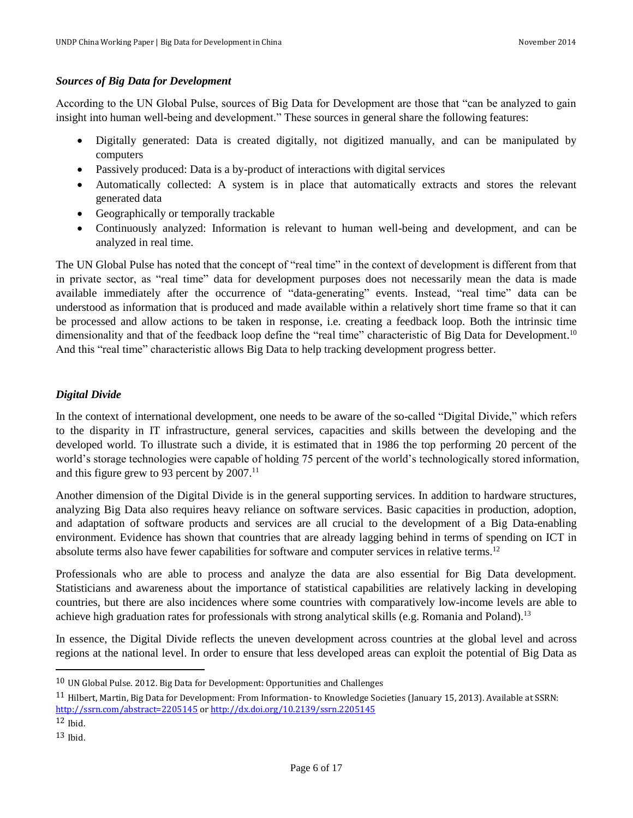## <span id="page-5-0"></span>*Sources of Big Data for Development*

According to the UN Global Pulse, sources of Big Data for Development are those that "can be analyzed to gain insight into human well-being and development." These sources in general share the following features:

- Digitally generated: Data is created digitally, not digitized manually, and can be manipulated by computers
- Passively produced: Data is a by-product of interactions with digital services
- Automatically collected: A system is in place that automatically extracts and stores the relevant generated data
- Geographically or temporally trackable
- Continuously analyzed: Information is relevant to human well-being and development, and can be analyzed in real time.

The UN Global Pulse has noted that the concept of "real time" in the context of development is different from that in private sector, as "real time" data for development purposes does not necessarily mean the data is made available immediately after the occurrence of "data-generating" events. Instead, "real time" data can be understood as information that is produced and made available within a relatively short time frame so that it can be processed and allow actions to be taken in response, i.e. creating a feedback loop. Both the intrinsic time dimensionality and that of the feedback loop define the "real time" characteristic of Big Data for Development.<sup>10</sup> And this "real time" characteristic allows Big Data to help tracking development progress better.

# <span id="page-5-1"></span>*Digital Divide*

In the context of international development, one needs to be aware of the so-called "Digital Divide," which refers to the disparity in IT infrastructure, general services, capacities and skills between the developing and the developed world. To illustrate such a divide, it is estimated that in 1986 the top performing 20 percent of the world's storage technologies were capable of holding 75 percent of the world's technologically stored information, and this figure grew to 93 percent by  $2007$ .<sup>11</sup>

Another dimension of the Digital Divide is in the general supporting services. In addition to hardware structures, analyzing Big Data also requires heavy reliance on software services. Basic capacities in production, adoption, and adaptation of software products and services are all crucial to the development of a Big Data-enabling environment. Evidence has shown that countries that are already lagging behind in terms of spending on ICT in absolute terms also have fewer capabilities for software and computer services in relative terms.<sup>12</sup>

Professionals who are able to process and analyze the data are also essential for Big Data development. Statisticians and awareness about the importance of statistical capabilities are relatively lacking in developing countries, but there are also incidences where some countries with comparatively low-income levels are able to achieve high graduation rates for professionals with strong analytical skills (e.g. Romania and Poland).<sup>13</sup>

In essence, the Digital Divide reflects the uneven development across countries at the global level and across regions at the national level. In order to ensure that less developed areas can exploit the potential of Big Data as

l

<sup>10</sup> UN Global Pulse. 2012. Big Data for Development: Opportunities and Challenges

<sup>11</sup> Hilbert, Martin, Big Data for Development: From Information- to Knowledge Societies (January 15, 2013). Available at SSRN: <http://ssrn.com/abstract=2205145> o[r http://dx.doi.org/10.2139/ssrn.2205145](http://dx.doi.org/10.2139/ssrn.2205145)

 $12$  Ibid.

 $13$  Ibid.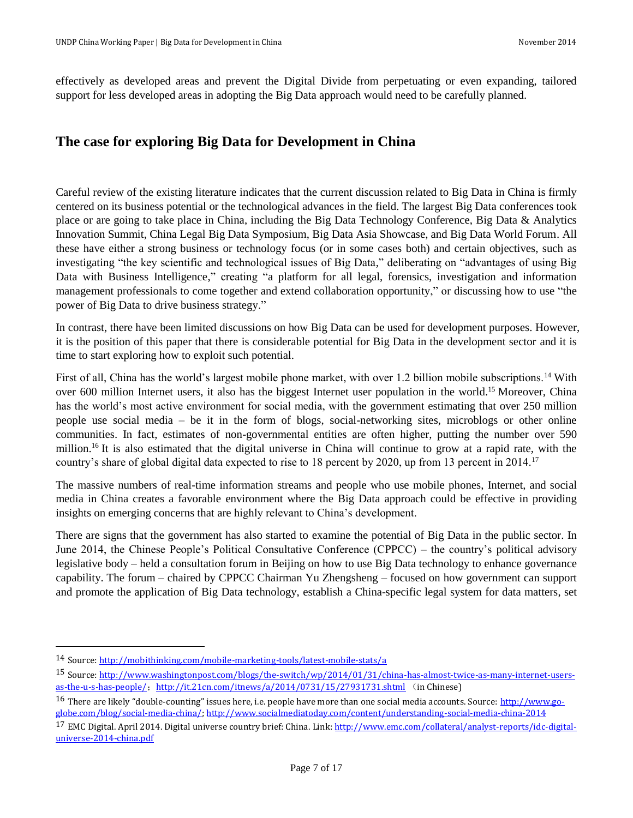effectively as developed areas and prevent the Digital Divide from perpetuating or even expanding, tailored support for less developed areas in adopting the Big Data approach would need to be carefully planned.

# <span id="page-6-0"></span>**The case for exploring Big Data for Development in China**

Careful review of the existing literature indicates that the current discussion related to Big Data in China is firmly centered on its business potential or the technological advances in the field. The largest Big Data conferences took place or are going to take place in China, including the Big Data Technology Conference, Big Data & Analytics Innovation Summit, China Legal Big Data Symposium, Big Data Asia Showcase, and Big Data World Forum. All these have either a strong business or technology focus (or in some cases both) and certain objectives, such as investigating "the key scientific and technological issues of Big Data," deliberating on "advantages of using Big Data with Business Intelligence," creating "a platform for all legal, forensics, investigation and information management professionals to come together and extend collaboration opportunity," or discussing how to use "the power of Big Data to drive business strategy."

In contrast, there have been limited discussions on how Big Data can be used for development purposes. However, it is the position of this paper that there is considerable potential for Big Data in the development sector and it is time to start exploring how to exploit such potential.

First of all, China has the world's largest mobile phone market, with over 1.2 billion mobile subscriptions.<sup>14</sup> With over 600 million Internet users, it also has the biggest Internet user population in the world.<sup>15</sup> Moreover, China has the world's most active environment for social media, with the government estimating that over 250 million people use social media – be it in the form of blogs, social-networking sites, microblogs or other online communities. In fact, estimates of non-governmental entities are often higher, putting the number over 590 million.<sup>16</sup> It is also estimated that the digital universe in China will continue to grow at a rapid rate, with the country's share of global digital data expected to rise to 18 percent by 2020, up from 13 percent in 2014.<sup>17</sup>

The massive numbers of real-time information streams and people who use mobile phones, Internet, and social media in China creates a favorable environment where the Big Data approach could be effective in providing insights on emerging concerns that are highly relevant to China's development.

There are signs that the government has also started to examine the potential of Big Data in the public sector. In June 2014, the Chinese People's Political Consultative Conference (CPPCC) – the country's political advisory legislative body – held a consultation forum in Beijing on how to use Big Data technology to enhance governance capability. The forum – chaired by CPPCC Chairman Yu Zhengsheng – focused on how government can support and promote the application of Big Data technology, establish a China-specific legal system for data matters, set

 $\overline{\phantom{0}}$ 

<sup>14</sup> Source[: http://mobithinking.com/mobile-marketing-tools/latest-mobile-stats/a](http://mobithinking.com/mobile-marketing-tools/latest-mobile-stats/a)

<sup>15</sup> Source[: http://www.washingtonpost.com/blogs/the-switch/wp/2014/01/31/china-has-almost-twice-as-many-internet-users](http://www.washingtonpost.com/blogs/the-switch/wp/2014/01/31/china-has-almost-twice-as-many-internet-users-as-the-u-s-has-people/)[as-the-u-s-has-people/](http://www.washingtonpost.com/blogs/the-switch/wp/2014/01/31/china-has-almost-twice-as-many-internet-users-as-the-u-s-has-people/); <http://it.21cn.com/itnews/a/2014/0731/15/27931731.shtml> (in Chinese)

<sup>16</sup> There are likely "double-counting" issues here, i.e. people have more than one social media accounts. Source: [http://www.go](http://www.go-globe.com/blog/social-media-china/)[globe.com/blog/social-media-china/;](http://www.go-globe.com/blog/social-media-china/)<http://www.socialmediatoday.com/content/understanding-social-media-china-2014>

<sup>&</sup>lt;sup>17</sup> EMC Digital. April 2014. Digital universe country brief: China. Link[: http://www.emc.com/collateral/analyst-reports/idc-digital](http://www.emc.com/collateral/analyst-reports/idc-digital-universe-2014-china.pdf)[universe-2014-china.pdf](http://www.emc.com/collateral/analyst-reports/idc-digital-universe-2014-china.pdf)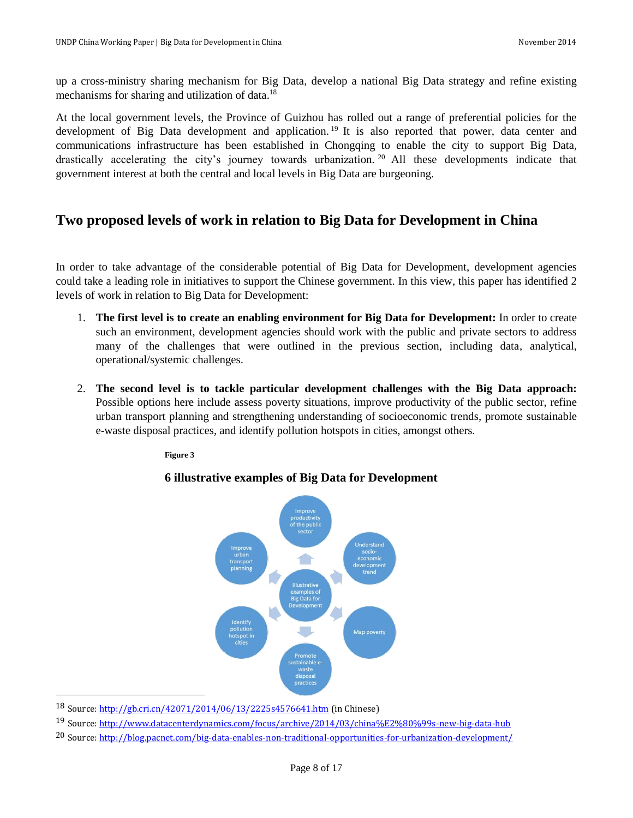up a cross-ministry sharing mechanism for Big Data, develop a national Big Data strategy and refine existing mechanisms for sharing and utilization of data.<sup>18</sup>

At the local government levels, the Province of Guizhou has rolled out a range of preferential policies for the development of Big Data development and application.<sup>19</sup> It is also reported that power, data center and communications infrastructure has been established in Chongqing to enable the city to support Big Data, drastically accelerating the city's journey towards urbanization. <sup>20</sup> All these developments indicate that government interest at both the central and local levels in Big Data are burgeoning.

# <span id="page-7-0"></span>**Two proposed levels of work in relation to Big Data for Development in China**

In order to take advantage of the considerable potential of Big Data for Development, development agencies could take a leading role in initiatives to support the Chinese government. In this view, this paper has identified 2 levels of work in relation to Big Data for Development:

- 1. **The first level is to create an enabling environment for Big Data for Development:** In order to create such an environment, development agencies should work with the public and private sectors to address many of the challenges that were outlined in the previous section, including data, analytical, operational/systemic challenges.
- 2. **The second level is to tackle particular development challenges with the Big Data approach:** Possible options here include assess poverty situations, improve productivity of the public sector, refine urban transport planning and strengthening understanding of socioeconomic trends, promote sustainable e-waste disposal practices, and identify pollution hotspots in cities, amongst others.

**Figure 3**

# **6 illustrative examples of Big Data for Development**



<sup>18</sup> Source[: http://gb.cri.cn/42071/2014/06/13/2225s4576641.htm](http://gb.cri.cn/42071/2014/06/13/2225s4576641.htm) (in Chinese)

 $\overline{\phantom{0}}$ 

<sup>19</sup> Source[: http://www.datacenterdynamics.com/focus/archive/2014/03/china%E2%80%99s-new-big-data-hub](http://www.datacenterdynamics.com/focus/archive/2014/03/china%E2%80%99s-new-big-data-hub)

<sup>20</sup> Source[: http://blog.pacnet.com/big-data-enables-non-traditional-opportunities-for-urbanization-development/](http://blog.pacnet.com/big-data-enables-non-traditional-opportunities-for-urbanization-development/)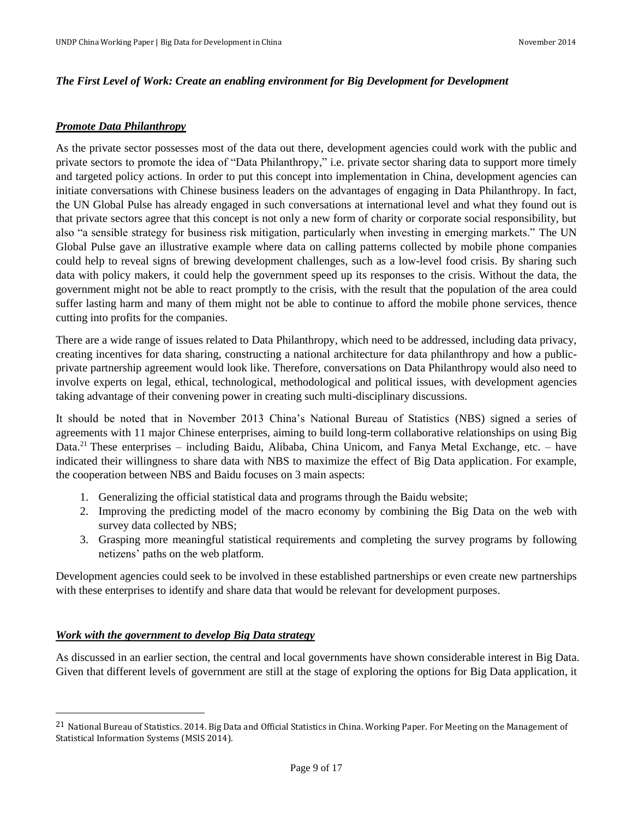#### <span id="page-8-0"></span>*The First Level of Work: Create an enabling environment for Big Development for Development*

#### <span id="page-8-1"></span>*Promote Data Philanthropy*

As the private sector possesses most of the data out there, development agencies could work with the public and private sectors to promote the idea of "Data Philanthropy," i.e. private sector sharing data to support more timely and targeted policy actions. In order to put this concept into implementation in China, development agencies can initiate conversations with Chinese business leaders on the advantages of engaging in Data Philanthropy. In fact, the UN Global Pulse has already engaged in such conversations at international level and what they found out is that private sectors agree that this concept is not only a new form of charity or corporate social responsibility, but also "a sensible strategy for business risk mitigation, particularly when investing in emerging markets." The UN Global Pulse gave an illustrative example where data on calling patterns collected by mobile phone companies could help to reveal signs of brewing development challenges, such as a low-level food crisis. By sharing such data with policy makers, it could help the government speed up its responses to the crisis. Without the data, the government might not be able to react promptly to the crisis, with the result that the population of the area could suffer lasting harm and many of them might not be able to continue to afford the mobile phone services, thence cutting into profits for the companies.

There are a wide range of issues related to Data Philanthropy, which need to be addressed, including data privacy, creating incentives for data sharing, constructing a national architecture for data philanthropy and how a publicprivate partnership agreement would look like. Therefore, conversations on Data Philanthropy would also need to involve experts on legal, ethical, technological, methodological and political issues, with development agencies taking advantage of their convening power in creating such multi-disciplinary discussions.

It should be noted that in November 2013 China's National Bureau of Statistics (NBS) signed a series of agreements with 11 major Chinese enterprises, aiming to build long-term collaborative relationships on using Big Data.<sup>21</sup> These enterprises – including Baidu, Alibaba, China Unicom, and Fanya Metal Exchange, etc. – have indicated their willingness to share data with NBS to maximize the effect of Big Data application. For example, the cooperation between NBS and Baidu focuses on 3 main aspects:

- 1. Generalizing the official statistical data and programs through the Baidu website;
- 2. Improving the predicting model of the macro economy by combining the Big Data on the web with survey data collected by NBS;
- 3. Grasping more meaningful statistical requirements and completing the survey programs by following netizens' paths on the web platform.

Development agencies could seek to be involved in these established partnerships or even create new partnerships with these enterprises to identify and share data that would be relevant for development purposes.

## <span id="page-8-2"></span>*Work with the government to develop Big Data strategy*

 $\overline{a}$ 

As discussed in an earlier section, the central and local governments have shown considerable interest in Big Data. Given that different levels of government are still at the stage of exploring the options for Big Data application, it

<sup>&</sup>lt;sup>21</sup> National Bureau of Statistics. 2014. Big Data and Official Statistics in China. Working Paper. For Meeting on the Management of Statistical Information Systems (MSIS 2014).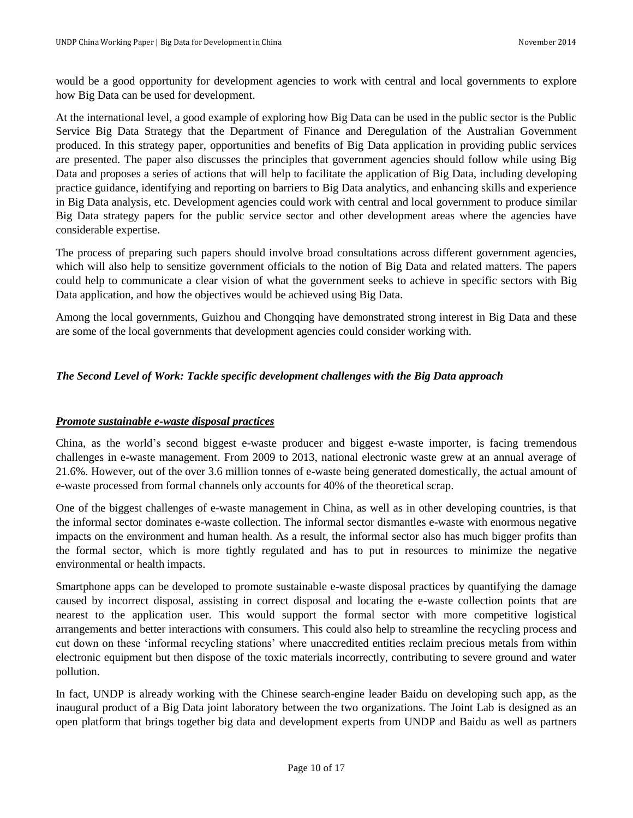would be a good opportunity for development agencies to work with central and local governments to explore how Big Data can be used for development.

At the international level, a good example of exploring how Big Data can be used in the public sector is the Public Service Big Data Strategy that the Department of Finance and Deregulation of the Australian Government produced. In this strategy paper, opportunities and benefits of Big Data application in providing public services are presented. The paper also discusses the principles that government agencies should follow while using Big Data and proposes a series of actions that will help to facilitate the application of Big Data, including developing practice guidance, identifying and reporting on barriers to Big Data analytics, and enhancing skills and experience in Big Data analysis, etc. Development agencies could work with central and local government to produce similar Big Data strategy papers for the public service sector and other development areas where the agencies have considerable expertise.

The process of preparing such papers should involve broad consultations across different government agencies, which will also help to sensitize government officials to the notion of Big Data and related matters. The papers could help to communicate a clear vision of what the government seeks to achieve in specific sectors with Big Data application, and how the objectives would be achieved using Big Data.

Among the local governments, Guizhou and Chongqing have demonstrated strong interest in Big Data and these are some of the local governments that development agencies could consider working with.

# <span id="page-9-0"></span>*The Second Level of Work: Tackle specific development challenges with the Big Data approach*

# <span id="page-9-1"></span>*Promote sustainable e-waste disposal practices*

China, as the world's second biggest e-waste producer and biggest e-waste importer, is facing tremendous challenges in e-waste management. From 2009 to 2013, national electronic waste grew at an annual average of 21.6%. However, out of the over 3.6 million tonnes of e-waste being generated domestically, the actual amount of e-waste processed from formal channels only accounts for 40% of the theoretical scrap.

One of the biggest challenges of e-waste management in China, as well as in other developing countries, is that the informal sector dominates e-waste collection. The informal sector dismantles e-waste with enormous negative impacts on the environment and human health. As a result, the informal sector also has much bigger profits than the formal sector, which is more tightly regulated and has to put in resources to minimize the negative environmental or health impacts.

Smartphone apps can be developed to promote sustainable e-waste disposal practices by quantifying the damage caused by incorrect disposal, assisting in correct disposal and locating the e-waste collection points that are nearest to the application user. This would support the formal sector with more competitive logistical arrangements and better interactions with consumers. This could also help to streamline the recycling process and cut down on these 'informal recycling stations' where unaccredited entities reclaim precious metals from within electronic equipment but then dispose of the toxic materials incorrectly, contributing to severe ground and water pollution.

In fact, UNDP is already working with the Chinese search-engine leader Baidu on developing such app, as the inaugural product of a Big Data joint laboratory between the two organizations. The Joint Lab is designed as an open platform that brings together big data and development experts from UNDP and Baidu as well as partners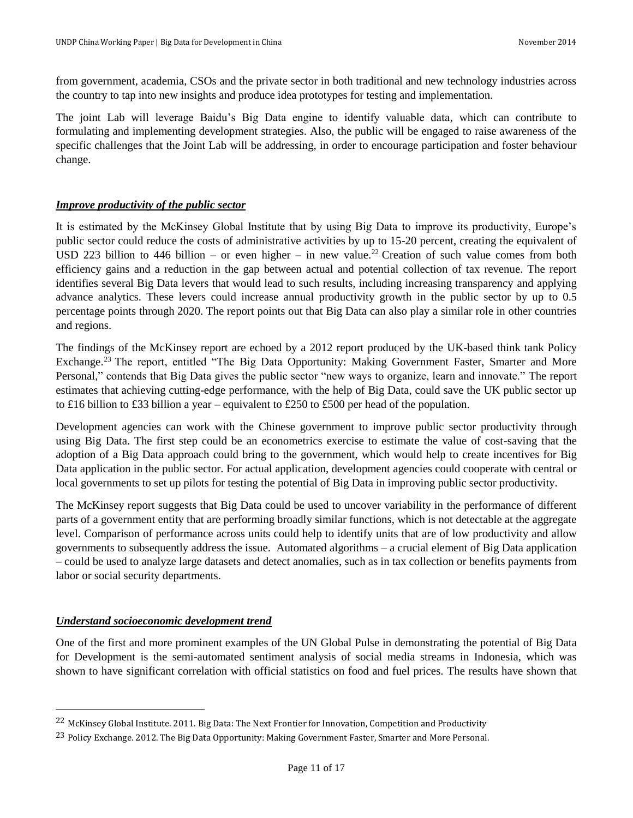from government, academia, CSOs and the private sector in both traditional and new technology industries across the country to tap into new insights and produce idea prototypes for testing and implementation.

The joint Lab will leverage Baidu's Big Data engine to identify valuable data, which can contribute to formulating and implementing development strategies. Also, the public will be engaged to raise awareness of the specific challenges that the Joint Lab will be addressing, in order to encourage participation and foster behaviour change.

# <span id="page-10-0"></span>*Improve productivity of the public sector*

It is estimated by the McKinsey Global Institute that by using Big Data to improve its productivity, Europe's public sector could reduce the costs of administrative activities by up to 15-20 percent, creating the equivalent of USD 223 billion to 446 billion – or even higher – in new value.<sup>22</sup> Creation of such value comes from both efficiency gains and a reduction in the gap between actual and potential collection of tax revenue. The report identifies several Big Data levers that would lead to such results, including increasing transparency and applying advance analytics. These levers could increase annual productivity growth in the public sector by up to 0.5 percentage points through 2020. The report points out that Big Data can also play a similar role in other countries and regions.

The findings of the McKinsey report are echoed by a 2012 report produced by the UK-based think tank Policy Exchange.<sup>23</sup> The report, entitled "The Big Data Opportunity: Making Government Faster, Smarter and More Personal," contends that Big Data gives the public sector "new ways to organize, learn and innovate." The report estimates that achieving cutting-edge performance, with the help of Big Data, could save the UK public sector up to £16 billion to £33 billion a year – equivalent to £250 to £500 per head of the population.

Development agencies can work with the Chinese government to improve public sector productivity through using Big Data. The first step could be an econometrics exercise to estimate the value of cost-saving that the adoption of a Big Data approach could bring to the government, which would help to create incentives for Big Data application in the public sector. For actual application, development agencies could cooperate with central or local governments to set up pilots for testing the potential of Big Data in improving public sector productivity.

The McKinsey report suggests that Big Data could be used to uncover variability in the performance of different parts of a government entity that are performing broadly similar functions, which is not detectable at the aggregate level. Comparison of performance across units could help to identify units that are of low productivity and allow governments to subsequently address the issue. Automated algorithms – a crucial element of Big Data application – could be used to analyze large datasets and detect anomalies, such as in tax collection or benefits payments from labor or social security departments.

# <span id="page-10-1"></span>*Understand socioeconomic development trend*

l

One of the first and more prominent examples of the UN Global Pulse in demonstrating the potential of Big Data for Development is the semi-automated sentiment analysis of social media streams in Indonesia, which was shown to have significant correlation with official statistics on food and fuel prices. The results have shown that

<sup>22</sup> McKinsey Global Institute. 2011. Big Data: The Next Frontier for Innovation, Competition and Productivity

<sup>23</sup> Policy Exchange. 2012. The Big Data Opportunity: Making Government Faster, Smarter and More Personal.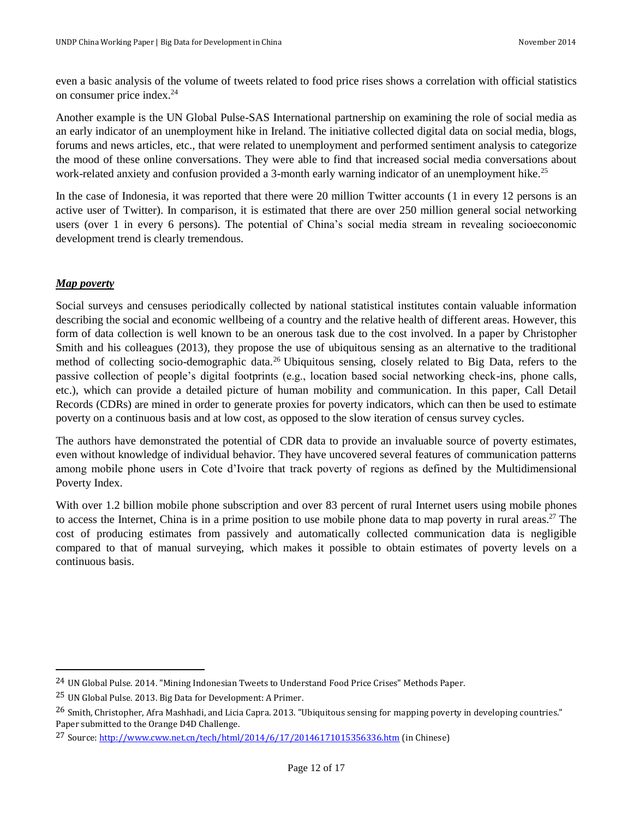even a basic analysis of the volume of tweets related to food price rises shows a correlation with official statistics on consumer price index. 24

Another example is the UN Global Pulse-SAS International partnership on examining the role of social media as an early indicator of an unemployment hike in Ireland. The initiative collected digital data on social media, blogs, forums and news articles, etc., that were related to unemployment and performed sentiment analysis to categorize the mood of these online conversations. They were able to find that increased social media conversations about work-related anxiety and confusion provided a 3-month early warning indicator of an unemployment hike.<sup>25</sup>

In the case of Indonesia, it was reported that there were 20 million Twitter accounts (1 in every 12 persons is an active user of Twitter). In comparison, it is estimated that there are over 250 million general social networking users (over 1 in every 6 persons). The potential of China's social media stream in revealing socioeconomic development trend is clearly tremendous.

# <span id="page-11-0"></span>*Map poverty*

l

Social surveys and censuses periodically collected by national statistical institutes contain valuable information describing the social and economic wellbeing of a country and the relative health of different areas. However, this form of data collection is well known to be an onerous task due to the cost involved. In a paper by Christopher Smith and his colleagues (2013), they propose the use of ubiquitous sensing as an alternative to the traditional method of collecting socio-demographic data.<sup>26</sup> Ubiquitous sensing, closely related to Big Data, refers to the passive collection of people's digital footprints (e.g., location based social networking check-ins, phone calls, etc.), which can provide a detailed picture of human mobility and communication. In this paper, Call Detail Records (CDRs) are mined in order to generate proxies for poverty indicators, which can then be used to estimate poverty on a continuous basis and at low cost, as opposed to the slow iteration of census survey cycles.

The authors have demonstrated the potential of CDR data to provide an invaluable source of poverty estimates, even without knowledge of individual behavior. They have uncovered several features of communication patterns among mobile phone users in Cote d'Ivoire that track poverty of regions as defined by the Multidimensional Poverty Index.

With over 1.2 billion mobile phone subscription and over 83 percent of rural Internet users using mobile phones to access the Internet, China is in a prime position to use mobile phone data to map poverty in rural areas.<sup>27</sup> The cost of producing estimates from passively and automatically collected communication data is negligible compared to that of manual surveying, which makes it possible to obtain estimates of poverty levels on a continuous basis.

<sup>24</sup> UN Global Pulse. 2014. "Mining Indonesian Tweets to Understand Food Price Crises" Methods Paper.

<sup>25</sup> UN Global Pulse. 2013. Big Data for Development: A Primer.

<sup>&</sup>lt;sup>26</sup> Smith, Christopher, Afra Mashhadi, and Licia Capra. 2013. "Ubiquitous sensing for mapping poverty in developing countries." Paper submitted to the Orange D4D Challenge.

<sup>27</sup> Source[: http://www.cww.net.cn/tech/html/2014/6/17/20146171015356336.htm](http://www.cww.net.cn/tech/html/2014/6/17/20146171015356336.htm) (in Chinese)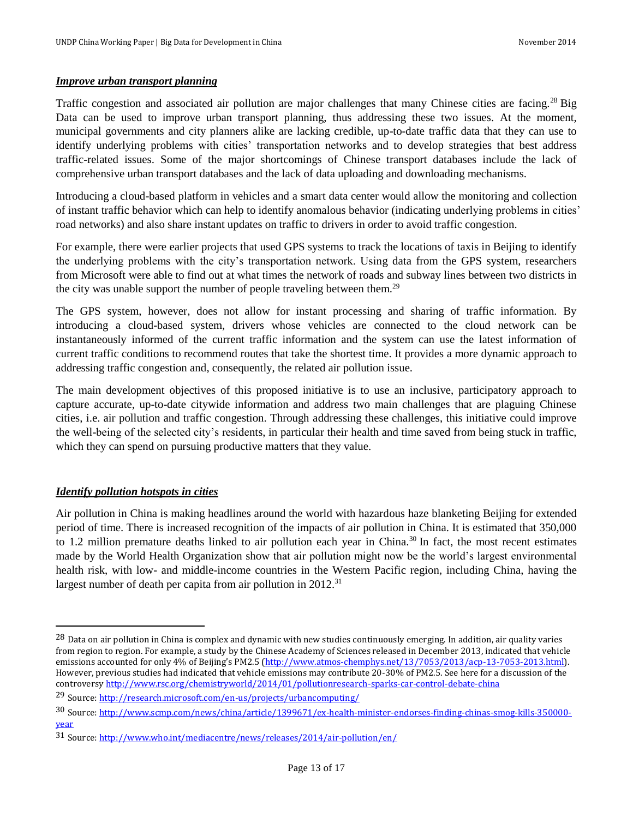## <span id="page-12-0"></span>*Improve urban transport planning*

Traffic congestion and associated air pollution are major challenges that many Chinese cities are facing.<sup>28</sup> Big Data can be used to improve urban transport planning, thus addressing these two issues. At the moment, municipal governments and city planners alike are lacking credible, up-to-date traffic data that they can use to identify underlying problems with cities' transportation networks and to develop strategies that best address traffic-related issues. Some of the major shortcomings of Chinese transport databases include the lack of comprehensive urban transport databases and the lack of data uploading and downloading mechanisms.

Introducing a cloud-based platform in vehicles and a smart data center would allow the monitoring and collection of instant traffic behavior which can help to identify anomalous behavior (indicating underlying problems in cities' road networks) and also share instant updates on traffic to drivers in order to avoid traffic congestion.

For example, there were earlier projects that used GPS systems to track the locations of taxis in Beijing to identify the underlying problems with the city's transportation network. Using data from the GPS system, researchers from Microsoft were able to find out at what times the network of roads and subway lines between two districts in the city was unable support the number of people traveling between them.<sup>29</sup>

The GPS system, however, does not allow for instant processing and sharing of traffic information. By introducing a cloud-based system, drivers whose vehicles are connected to the cloud network can be instantaneously informed of the current traffic information and the system can use the latest information of current traffic conditions to recommend routes that take the shortest time. It provides a more dynamic approach to addressing traffic congestion and, consequently, the related air pollution issue.

The main development objectives of this proposed initiative is to use an inclusive, participatory approach to capture accurate, up-to-date citywide information and address two main challenges that are plaguing Chinese cities, i.e. air pollution and traffic congestion. Through addressing these challenges, this initiative could improve the well-being of the selected city's residents, in particular their health and time saved from being stuck in traffic, which they can spend on pursuing productive matters that they value.

# <span id="page-12-1"></span>*Identify pollution hotspots in cities*

 $\overline{a}$ 

Air pollution in China is making headlines around the world with hazardous haze blanketing Beijing for extended period of time. There is increased recognition of the impacts of air pollution in China. It is estimated that 350,000 to 1.2 million premature deaths linked to air pollution each year in China.<sup>30</sup> In fact, the most recent estimates made by the World Health Organization show that air pollution might now be the world's largest environmental health risk, with low- and middle-income countries in the Western Pacific region, including China, having the largest number of death per capita from air pollution in  $2012$ <sup>31</sup>

<sup>&</sup>lt;sup>28</sup> Data on air pollution in China is complex and dynamic with new studies continuously emerging. In addition, air quality varies from region to region. For example, a study by the Chinese Academy of Sciences released in December 2013, indicated that vehicle emissions accounted for only 4% of Beijing's PM2.5 ([http://www.atmos-chemphys.net/13/7053/2013/acp-13-7053-2013.html\)](http://www.atmos-chemphys.net/13/7053/2013/acp-13-7053-2013.html). However, previous studies had indicated that vehicle emissions may contribute 20-30% of PM2.5. See here for a discussion of the controvers[y http://www.rsc.org/chemistryworld/2014/01/pollutionresearch-sparks-car-control-debate-china](http://www.rsc.org/chemistryworld/2014/01/pollutionresearch-sparks-car-control-debate-china)

<sup>29</sup> Source[: http://research.microsoft.com/en-us/projects/urbancomputing/](http://research.microsoft.com/en-us/projects/urbancomputing/)

<sup>30</sup> Source[: http://www.scmp.com/news/china/article/1399671/ex-health-minister-endorses-finding-chinas-smog-kills-350000](http://www.scmp.com/news/china/article/1399671/ex-health-minister-endorses-finding-chinas-smog-kills-350000-year) [year](http://www.scmp.com/news/china/article/1399671/ex-health-minister-endorses-finding-chinas-smog-kills-350000-year)

<sup>31</sup> Source[: http://www.who.int/mediacentre/news/releases/2014/air-pollution/en/](http://www.who.int/mediacentre/news/releases/2014/air-pollution/en/)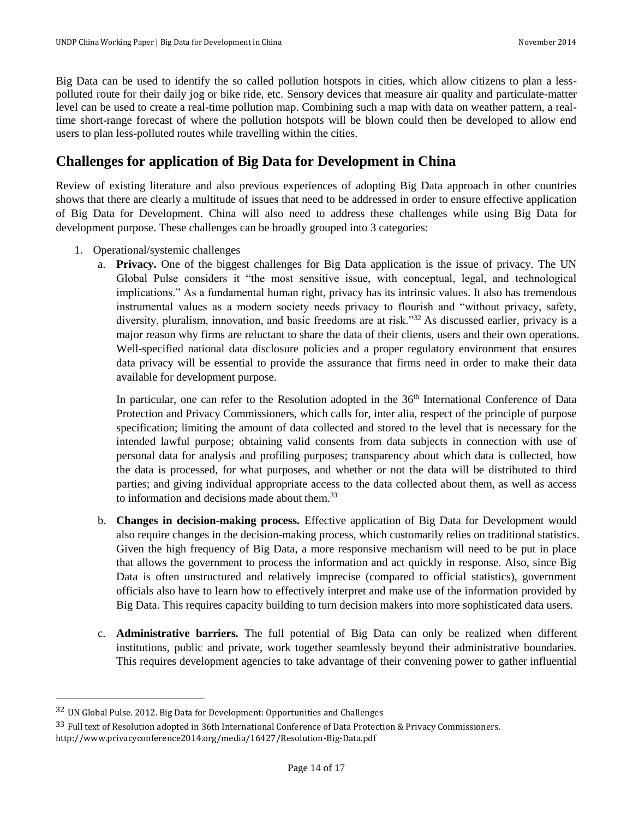Big Data can be used to identify the so called pollution hotspots in cities, which allow citizens to plan a lesspolluted route for their daily jog or bike ride, etc. Sensory devices that measure air quality and particulate-matter level can be used to create a real-time pollution map. Combining such a map with data on weather pattern, a realtime short-range forecast of where the pollution hotspots will be blown could then be developed to allow end users to plan less-polluted routes while travelling within the cities.

# <span id="page-13-0"></span>**Challenges for application of Big Data for Development in China**

Review of existing literature and also previous experiences of adopting Big Data approach in other countries shows that there are clearly a multitude of issues that need to be addressed in order to ensure effective application of Big Data for Development. China will also need to address these challenges while using Big Data for development purpose. These challenges can be broadly grouped into 3 categories:

- 1. Operational/systemic challenges
	- a. **Privacy.** One of the biggest challenges for Big Data application is the issue of privacy. The UN Global Pulse considers it "the most sensitive issue, with conceptual, legal, and technological implications." As a fundamental human right, privacy has its intrinsic values. It also has tremendous instrumental values as a modern society needs privacy to flourish and "without privacy, safety, diversity, pluralism, innovation, and basic freedoms are at risk."<sup>32</sup> As discussed earlier, privacy is a major reason why firms are reluctant to share the data of their clients, users and their own operations. Well-specified national data disclosure policies and a proper regulatory environment that ensures data privacy will be essential to provide the assurance that firms need in order to make their data available for development purpose.

In particular, one can refer to the Resolution adopted in the 36<sup>th</sup> International Conference of Data Protection and Privacy Commissioners, which calls for, inter alia, respect of the principle of purpose specification; limiting the amount of data collected and stored to the level that is necessary for the intended lawful purpose; obtaining valid consents from data subjects in connection with use of personal data for analysis and profiling purposes; transparency about which data is collected, how the data is processed, for what purposes, and whether or not the data will be distributed to third parties; and giving individual appropriate access to the data collected about them, as well as access to information and decisions made about them.<sup>33</sup>

- b. **Changes in decision-making process.** Effective application of Big Data for Development would also require changes in the decision-making process, which customarily relies on traditional statistics. Given the high frequency of Big Data, a more responsive mechanism will need to be put in place that allows the government to process the information and act quickly in response. Also, since Big Data is often unstructured and relatively imprecise (compared to official statistics), government officials also have to learn how to effectively interpret and make use of the information provided by Big Data. This requires capacity building to turn decision makers into more sophisticated data users.
- c. **Administrative barriers.** The full potential of Big Data can only be realized when different institutions, public and private, work together seamlessly beyond their administrative boundaries. This requires development agencies to take advantage of their convening power to gather influential

l

<sup>32</sup> UN Global Pulse. 2012. Big Data for Development: Opportunities and Challenges

<sup>33</sup> Full text of Resolution adopted in 36th International Conference of Data Protection & Privacy Commissioners. http://www.privacyconference2014.org/media/16427/Resolution-Big-Data.pdf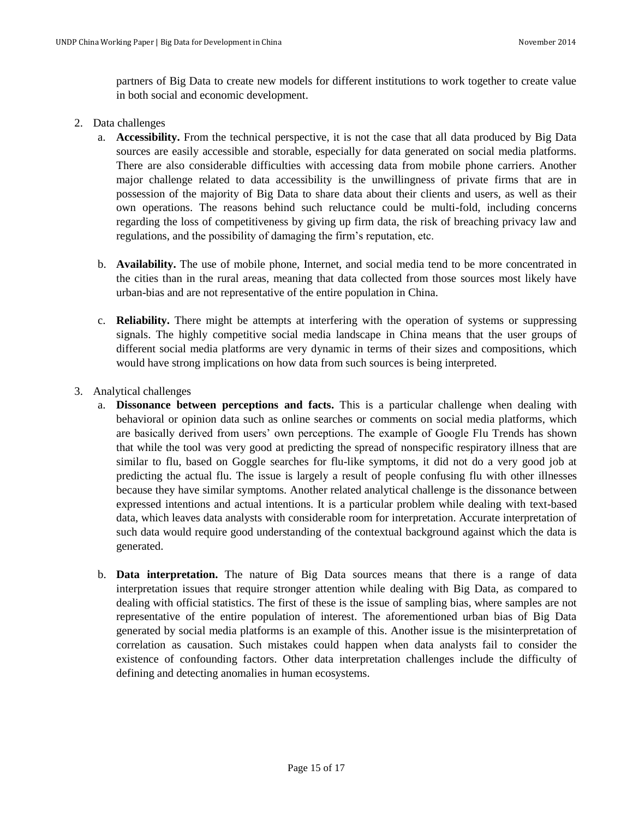partners of Big Data to create new models for different institutions to work together to create value in both social and economic development.

## 2. Data challenges

- a. **Accessibility.** From the technical perspective, it is not the case that all data produced by Big Data sources are easily accessible and storable, especially for data generated on social media platforms. There are also considerable difficulties with accessing data from mobile phone carriers. Another major challenge related to data accessibility is the unwillingness of private firms that are in possession of the majority of Big Data to share data about their clients and users, as well as their own operations. The reasons behind such reluctance could be multi-fold, including concerns regarding the loss of competitiveness by giving up firm data, the risk of breaching privacy law and regulations, and the possibility of damaging the firm's reputation, etc.
- b. **Availability.** The use of mobile phone, Internet, and social media tend to be more concentrated in the cities than in the rural areas, meaning that data collected from those sources most likely have urban-bias and are not representative of the entire population in China.
- c. **Reliability.** There might be attempts at interfering with the operation of systems or suppressing signals. The highly competitive social media landscape in China means that the user groups of different social media platforms are very dynamic in terms of their sizes and compositions, which would have strong implications on how data from such sources is being interpreted.
- 3. Analytical challenges
	- a. **Dissonance between perceptions and facts.** This is a particular challenge when dealing with behavioral or opinion data such as online searches or comments on social media platforms, which are basically derived from users' own perceptions. The example of Google Flu Trends has shown that while the tool was very good at predicting the spread of nonspecific respiratory illness that are similar to flu, based on Goggle searches for flu-like symptoms, it did not do a very good job at predicting the actual flu. The issue is largely a result of people confusing flu with other illnesses because they have similar symptoms. Another related analytical challenge is the dissonance between expressed intentions and actual intentions. It is a particular problem while dealing with text-based data, which leaves data analysts with considerable room for interpretation. Accurate interpretation of such data would require good understanding of the contextual background against which the data is generated.
	- b. **Data interpretation.** The nature of Big Data sources means that there is a range of data interpretation issues that require stronger attention while dealing with Big Data, as compared to dealing with official statistics. The first of these is the issue of sampling bias, where samples are not representative of the entire population of interest. The aforementioned urban bias of Big Data generated by social media platforms is an example of this. Another issue is the misinterpretation of correlation as causation. Such mistakes could happen when data analysts fail to consider the existence of confounding factors. Other data interpretation challenges include the difficulty of defining and detecting anomalies in human ecosystems.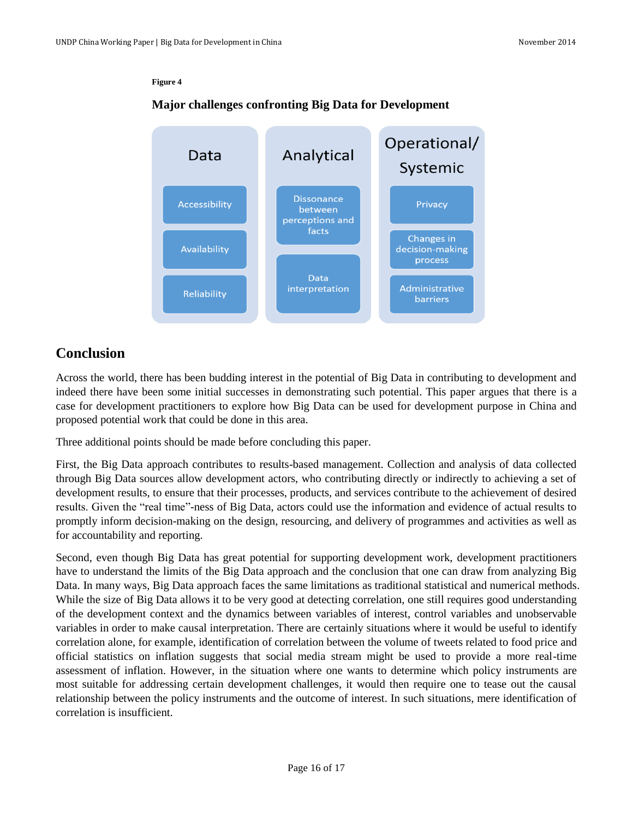#### **Figure 4**

# **Major challenges confronting Big Data for Development**



# <span id="page-15-0"></span>**Conclusion**

Across the world, there has been budding interest in the potential of Big Data in contributing to development and indeed there have been some initial successes in demonstrating such potential. This paper argues that there is a case for development practitioners to explore how Big Data can be used for development purpose in China and proposed potential work that could be done in this area.

Three additional points should be made before concluding this paper.

First, the Big Data approach contributes to results-based management. Collection and analysis of data collected through Big Data sources allow development actors, who contributing directly or indirectly to achieving a set of development results, to ensure that their processes, products, and services contribute to the achievement of desired results. Given the "real time"-ness of Big Data, actors could use the information and evidence of actual results to promptly inform decision-making on the design, resourcing, and delivery of programmes and activities as well as for accountability and reporting.

Second, even though Big Data has great potential for supporting development work, development practitioners have to understand the limits of the Big Data approach and the conclusion that one can draw from analyzing Big Data. In many ways, Big Data approach faces the same limitations as traditional statistical and numerical methods. While the size of Big Data allows it to be very good at detecting correlation, one still requires good understanding of the development context and the dynamics between variables of interest, control variables and unobservable variables in order to make causal interpretation. There are certainly situations where it would be useful to identify correlation alone, for example, identification of correlation between the volume of tweets related to food price and official statistics on inflation suggests that social media stream might be used to provide a more real-time assessment of inflation. However, in the situation where one wants to determine which policy instruments are most suitable for addressing certain development challenges, it would then require one to tease out the causal relationship between the policy instruments and the outcome of interest. In such situations, mere identification of correlation is insufficient.